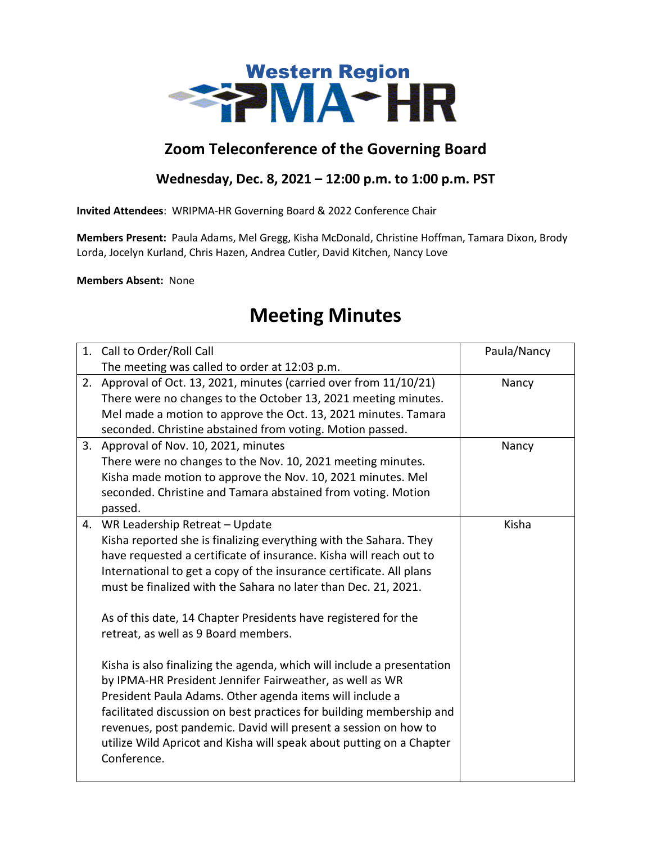

## **Zoom Teleconference of the Governing Board**

## **Wednesday, Dec. 8, 2021 – 12:00 p.m. to 1:00 p.m. PST**

**Invited Attendees**: WRIPMA-HR Governing Board & 2022 Conference Chair

**Members Present:** Paula Adams, Mel Gregg, Kisha McDonald, Christine Hoffman, Tamara Dixon, Brody Lorda, Jocelyn Kurland, Chris Hazen, Andrea Cutler, David Kitchen, Nancy Love

**Members Absent:** None

## **Meeting Minutes**

|    | 1. Call to Order/Roll Call                                             | Paula/Nancy |
|----|------------------------------------------------------------------------|-------------|
|    | The meeting was called to order at 12:03 p.m.                          |             |
| 2. | Approval of Oct. 13, 2021, minutes (carried over from 11/10/21)        | Nancy       |
|    | There were no changes to the October 13, 2021 meeting minutes.         |             |
|    | Mel made a motion to approve the Oct. 13, 2021 minutes. Tamara         |             |
|    | seconded. Christine abstained from voting. Motion passed.              |             |
| 3. | Approval of Nov. 10, 2021, minutes                                     | Nancy       |
|    | There were no changes to the Nov. 10, 2021 meeting minutes.            |             |
|    | Kisha made motion to approve the Nov. 10, 2021 minutes. Mel            |             |
|    | seconded. Christine and Tamara abstained from voting. Motion           |             |
|    | passed.                                                                |             |
| 4. | WR Leadership Retreat - Update                                         | Kisha       |
|    | Kisha reported she is finalizing everything with the Sahara. They      |             |
|    | have requested a certificate of insurance. Kisha will reach out to     |             |
|    | International to get a copy of the insurance certificate. All plans    |             |
|    | must be finalized with the Sahara no later than Dec. 21, 2021.         |             |
|    | As of this date, 14 Chapter Presidents have registered for the         |             |
|    | retreat, as well as 9 Board members.                                   |             |
|    | Kisha is also finalizing the agenda, which will include a presentation |             |
|    | by IPMA-HR President Jennifer Fairweather, as well as WR               |             |
|    | President Paula Adams. Other agenda items will include a               |             |
|    | facilitated discussion on best practices for building membership and   |             |
|    | revenues, post pandemic. David will present a session on how to        |             |
|    | utilize Wild Apricot and Kisha will speak about putting on a Chapter   |             |
|    | Conference.                                                            |             |
|    |                                                                        |             |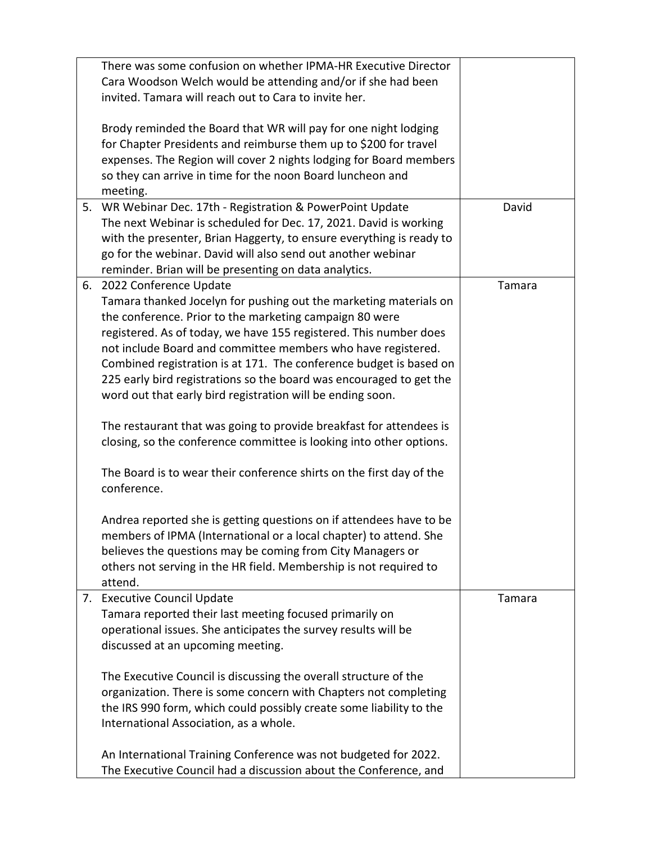|    | There was some confusion on whether IPMA-HR Executive Director       |        |
|----|----------------------------------------------------------------------|--------|
|    | Cara Woodson Welch would be attending and/or if she had been         |        |
|    | invited. Tamara will reach out to Cara to invite her.                |        |
|    |                                                                      |        |
|    | Brody reminded the Board that WR will pay for one night lodging      |        |
|    | for Chapter Presidents and reimburse them up to \$200 for travel     |        |
|    | expenses. The Region will cover 2 nights lodging for Board members   |        |
|    | so they can arrive in time for the noon Board luncheon and           |        |
|    | meeting.                                                             |        |
| 5. | WR Webinar Dec. 17th - Registration & PowerPoint Update              | David  |
|    | The next Webinar is scheduled for Dec. 17, 2021. David is working    |        |
|    | with the presenter, Brian Haggerty, to ensure everything is ready to |        |
|    | go for the webinar. David will also send out another webinar         |        |
|    | reminder. Brian will be presenting on data analytics.                |        |
|    | 6. 2022 Conference Update                                            | Tamara |
|    | Tamara thanked Jocelyn for pushing out the marketing materials on    |        |
|    | the conference. Prior to the marketing campaign 80 were              |        |
|    | registered. As of today, we have 155 registered. This number does    |        |
|    | not include Board and committee members who have registered.         |        |
|    | Combined registration is at 171. The conference budget is based on   |        |
|    | 225 early bird registrations so the board was encouraged to get the  |        |
|    | word out that early bird registration will be ending soon.           |        |
|    |                                                                      |        |
|    | The restaurant that was going to provide breakfast for attendees is  |        |
|    | closing, so the conference committee is looking into other options.  |        |
|    |                                                                      |        |
|    | The Board is to wear their conference shirts on the first day of the |        |
|    | conference.                                                          |        |
|    |                                                                      |        |
|    | Andrea reported she is getting questions on if attendees have to be  |        |
|    | members of IPMA (International or a local chapter) to attend. She    |        |
|    | believes the questions may be coming from City Managers or           |        |
|    | others not serving in the HR field. Membership is not required to    |        |
|    | attend.                                                              |        |
| 7. | <b>Executive Council Update</b>                                      | Tamara |
|    | Tamara reported their last meeting focused primarily on              |        |
|    | operational issues. She anticipates the survey results will be       |        |
|    | discussed at an upcoming meeting.                                    |        |
|    |                                                                      |        |
|    | The Executive Council is discussing the overall structure of the     |        |
|    | organization. There is some concern with Chapters not completing     |        |
|    | the IRS 990 form, which could possibly create some liability to the  |        |
|    | International Association, as a whole.                               |        |
|    |                                                                      |        |
|    | An International Training Conference was not budgeted for 2022.      |        |
|    |                                                                      |        |
|    | The Executive Council had a discussion about the Conference, and     |        |